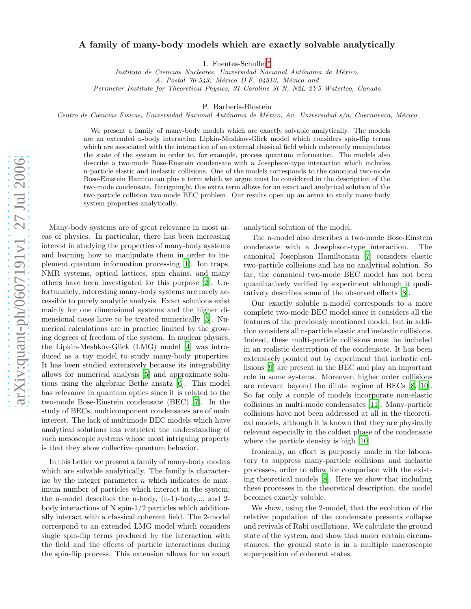## arXiv:quant-ph/0607191v1 27 Jul 2006 [arXiv:quant-ph/0607191v1 27 Jul 2006](http://arxiv.org/abs/quant-ph/0607191v1)

## A family of many-body models which are exactly solvable analytically

I. Fuentes-Schuller [∗](#page-3-0)

Instituto de Ciencias Nucleares, Universidad Nacional Autónoma de México,

A. Postal 70-543, México D.F. 04510, México and

Perimeter Institute for Theoretical Physics, 31 Caroline St N, N2L 2Y5 Waterloo, Canada

P. Barberis-Blostein

Centro de Ciencias Fisicas, Universidad Nacional Autónoma de México, Av. Universidad s/n, Cuernavaca, México

We present a family of many-body models which are exactly solvable analytically. The models are an extended n-body interaction Lipkin-Meshkov-Glick model which considers spin-flip terms which are associated with the interaction of an external classical field which coherently manipulates the state of the system in order to, for example, process quantum information. The models also describe a two-mode Bose-Einstein condensate with a Josephson-type interaction which includes n-particle elastic and inelastic collisions. One of the models corresponds to the canonical two-mode Bose-Einstein Hamitonian plus a term which we argue must be considered in the description of the two-mode condensate. Intriguingly, this extra term allows for an exact and analytical solution of the two-particle collision two-mode BEC problem. Our results open up an arena to study many-body system properties analytically.

Many-body systems are of great relevance in most areas of physics. In particular, there has been increasing interest in studying the properties of many-body systems and learning how to manipulate them in order to implement quantum information processing [\[1](#page-3-1)]. Ion traps, NMR systems, optical lattices, spin chains, and many others have been investigated for this purpose [\[2\]](#page-3-2). Unfortunately, interesting many-body systems are rarely accessible to purely analytic analysis. Exact solutions exist mainly for one dimensional systems and the higher dimensional cases have to be treated numerically [\[3\]](#page-3-3). Numerical calculations are in practice limited by the growing degrees of freedom of the system. In nuclear physics, the Lipkin-Meshkov-Glick (LMG) model [\[4\]](#page-3-4) was introduced as a toy model to study many-body properties. It has been studied extensively because its integrability allows for numerical analysis [\[5](#page-3-5)] and approximate solutions using the algebraic Bethe ansatz [\[6\]](#page-3-6). This model has relevance in quantum optics since it is related to the two-mode Bose-Einstein condensate (BEC) [\[7\]](#page-3-7). In the study of BECs, multicomponent condensates are of main interest. The lack of multimode BEC models which have analytical solutions has restricted the understanding of such mesoscopic systems whose most intriguing property is that they show collective quantum behavior.

In this Letter we present a family of many-body models which are solvable analytically. The family is characterize by the integer parameter  $n$  which indicates de maximum number of particles which interact in the system; the n-model describes the n-body, (n-1)-body..., and 2 body interactions of N spin-1/2 particles which additionally interact with a classical coherent field. The 2-model correspond to an extended LMG model which considers single spin-flip terms produced by the interaction with the field and the effects of particle interactions during the spin-flip process. This extension allows for an exact

analytical solution of the model.

The n-model also describes a two-mode Bose-Einstein condensate with a Josephson-type interaction. The canonical Josephson Hamiltonian [\[7\]](#page-3-7) considers elastic two-particle collisions and has no analytical solution. So far, the canonical two-mode BEC model has not been quantitatively verified by experiment although it qualitatively describes some of the observed effects [\[8](#page-4-0)].

Our exactly soluble n-model corresponds to a more complete two-mode BEC model since it considers all the features of the previously mentioned model, but in addition considers all n-particle elastic and inelastic collisions. Indeed, these multi-particle collisions must be included in an realistic description of the condensate. It has been extensively pointed out by experiment that inelastic collisions [\[9\]](#page-4-1) are present in the BEC and play an important role in some systems. Moreover, higher order collisions are relevant beyond the dilute regime of BECs [\[8](#page-4-0), [10\]](#page-4-2). So far only a couple of models incorporate non-elastic collisions in multi-mode condensates [\[11\]](#page-4-3). Many-particle collisions have not been addressed at all in the theoretical models, although it is known that they are physically relevant especially in the coldest phase of the condensate where the particle density is high [\[10](#page-4-2)].

Ironically, an effort is purposely made in the laboratory to suppress many-particle collisions and inelastic processes, order to allow for comparison with the existing theoretical models [\[8](#page-4-0)]. Here we show that including these processes in the theoretical description, the model becomes exactly soluble.

We show, using the 2-model, that the evolution of the relative population of the condensate presents collapse and revivals of Rabi oscillations. We calculate the ground state of the system, and show that under certain circumstances, the ground state is in a multiple macroscopic superposition of coherent states.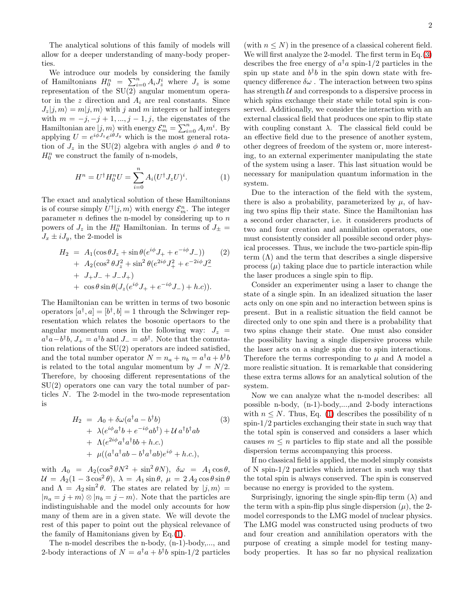The analytical solutions of this family of models will allow for a deeper understanding of many-body properties.

We introduce our models by considering the family of Hamiltonians  $H_0^n = \sum_{i=0}^n A_i J_z^i$  where  $J_z$  is some representation of the SU(2) angular momentum operator in the z direction and  $A_i$  are real constants. Since  $J_z|j,m\rangle = m|j,m\rangle$  with j and m integers or half integers with  $m = -j, -j + 1, \ldots, j - 1, j$ , the eigenstates of the Hamiltonian are  $|j, m\rangle$  with energy  $\mathcal{E}_m^n = \sum_{i=0}^n A_i m^i$ . By applying  $U = e^{i\phi J_z} e^{i\theta J_y}$  which is the most general rotation of  $J_z$  in the SU(2) algebra with angles  $\phi$  and  $\theta$  to  $H_0^n$  we construct the family of n-models,

$$
H^n = U^{\dagger} H_0^n U = \sum_{i=0}^n A_i (U^{\dagger} J_z U)^i.
$$
 (1)

<span id="page-1-0"></span>The exact and analytical solution of these Hamiltonians is of course simply  $U^{\dagger}|j,m\rangle$  with energy  $\mathcal{E}_m^n$ . The integer parameter  $n$  defines the n-model by considering up to  $n$ powers of  $J_z$  in the  $H_0^n$  Hamiltonian. In terms of  $J_{\pm}$  =  $J_x \pm iJ_y$ , the 2-model is

$$
H_2 = A_1(\cos \theta J_z + \sin \theta (e^{i\phi} J_+ + e^{-i\phi} J_-))
$$
  
+  $A_2(\cos^2 \theta J_z^2 + \sin^2 \theta (e^{2i\phi} J_+^2 + e^{-2i\phi} J_-^2)$   
+  $J_+ J_- + J_- J_+)$   
+  $\cos \theta \sin \theta (J_z (e^{i\phi} J_+ + e^{-i\phi} J_-) + h.c)).$  (2)

The Hamiltonian can be written in terms of two bosonic operators  $[a^{\dagger}, a] = [b^{\dagger}, b] = 1$  through the Schwinger representation which relates the bosonic opertaors to the angular momentum ones in the following way:  $J_z$  =  $a^{\dagger}a - b^{\dagger}b$ ,  $J_{+} = a^{\dagger}b$  and  $J_{-} = ab^{\dagger}$ . Note that the comutation relations of the SU(2) operators are indeed satisfied, and the total number operator  $N = n_a + n_b = a^{\dagger}a + b^{\dagger}b$ is related to the total angular momentum by  $J = N/2$ . Therefore, by choosing different representations of the  $SU(2)$  operators one can vary the total number of particles N. The 2-model in the two-mode representation is

<span id="page-1-1"></span>
$$
H_2 = A_0 + \delta\omega(a^{\dagger}a - b^{\dagger}b)
$$
(3)  
+  $\lambda(e^{i\phi}a^{\dagger}b + e^{-i\phi}ab^{\dagger}) + U a^{\dagger}b^{\dagger}ab$   
+  $\Lambda(e^{2i\phi}a^{\dagger}a^{\dagger}bb + h.c.)$   
+  $\mu((a^{\dagger}a^{\dagger}ab - b^{\dagger}a^{\dagger}ab)e^{i\phi} + h.c.),$ 

with  $A_0 = A_2(\cos^2 \theta N^2 + \sin^2 \theta N)$ ,  $\delta \omega = A_1 \cos \theta$ ,  $\mathcal{U} = A_2(1 - 3\cos^2\theta), \ \lambda = A_1\sin\theta, \ \mu = 2A_2\cos\theta\sin\theta$ and  $\Lambda = A_2 \sin^2 \theta$ . The states are related by  $|j, m\rangle =$  $|n_a = j + m \rangle \otimes |n_b = j - m \rangle$ . Note that the particles are indistinguishable and the model only accounts for how many of them are in a given state. We will devote the rest of this paper to point out the physical relevance of the family of Hamitonians given by Eq.[\(1\)](#page-1-0).

The n-model describes the n-body, (n-1)-body,..., and 2-body interactions of  $N = a^{\dagger}a + b^{\dagger}b$  spin-1/2 particles

(with  $n \leq N$ ) in the presence of a classical coherent field. We will first analyze the 2-model. The first term in Eq.[\(3\)](#page-1-1) describes the free energy of  $a^{\dagger}a$  spin-1/2 particles in the spin up state and  $b^{\dagger}b$  in the spin down state with frequency difference  $\delta \omega$ . The interaction between two spins has strength  $U$  and corresponds to a dispersive process in which spins exchange their state while total spin is conserved. Additionally, we consider the interaction with an external classical field that produces one spin to flip state with coupling constant  $\lambda$ . The classical field could be an effective field due to the presence of another system, other degrees of freedom of the system or, more interesting, to an external experimenter manipulating the state of the system using a laser. This last situation would be necessary for manipulation quantum information in the system.

Due to the interaction of the field with the system, there is also a probability, parameterized by  $\mu$ , of having two spins flip their state. Since the Hamiltonian has a second order character, i.e. it considerers products of two and four creation and annihilation operators, one must consistently consider all possible second order physical processes. Thus, we include the two-particle spin-flip term  $(\Lambda)$  and the term that describes a single dispersive process  $(\mu)$  taking place due to particle interaction while the laser produces a single spin to flip.

Consider an experimenter using a laser to change the state of a single spin. In an idealized situation the laser acts only on one spin and no interaction between spins is present. But in a realistic situation the field cannot be directed only to one spin and there is a probability that two spins change their state. One must also consider the possibility having a single dispersive process while the laser acts on a single spin due to spin interactions. Therefore the terms corresponding to  $\mu$  and  $\Lambda$  model a more realistic situation. It is remarkable that considering these extra terms allows for an analytical solution of the system.

Now we can analyze what the n-model describes: all possible n-body, (n-1)-body,...,and 2-body interactions with  $n \leq N$ . Thus, Eq. [\(1\)](#page-1-0) describes the possibility of n spin-1/2 particles exchanging their state in such way that the total spin is conserved and considers a laser which causes  $m \leq n$  particles to flip state and all the possible dispersion terms accompanying this process.

If no classical field is applied, the model simply consists of N spin-1/2 particles which interact in such way that the total spin is always conserved. The spin is conserved because no energy is provided to the system.

Surprisingly, ignoring the single spin-flip term  $(\lambda)$  and the term with a spin-flip plus single dispersion  $(\mu)$ , the 2model corresponds to the LMG model of nuclear physics. The LMG model was constructed using products of two and four creation and annihilation operators with the purpose of creating a simple model for testing manybody properties. It has so far no physical realization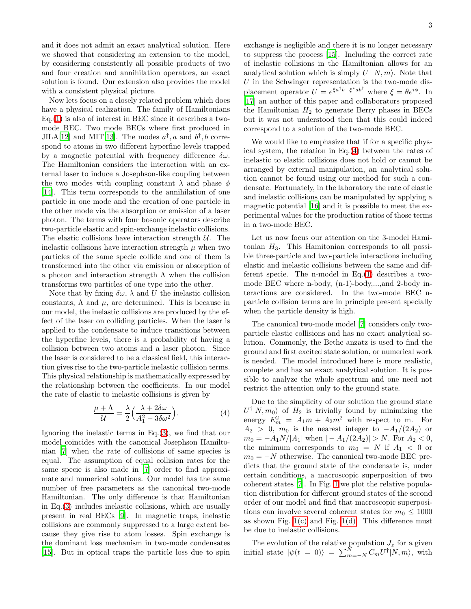and it does not admit an exact analytical solution. Here we showed that considering an extension to the model, by considering consistently all possible products of two and four creation and annihilation operators, an exact solution is found. Our extension also provides the model with a consistent physical picture.

Now lets focus on a closely related problem which does have a physical realization. The family of Hamiltonians Eq.[\(1\)](#page-1-0) is also of interest in BEC since it describes a twomode BEC. Two mode BECs where first produced in JILA[\[12](#page-4-4)] and MIT[\[13\]](#page-4-5). The modes  $a^{\dagger}$ , a and  $b^{\dagger}$ , b correspond to atoms in two different hyperfine levels trapped by a magnetic potential with frequency difference  $\delta\omega$ . The Hamiltonian considers the interaction with an external laser to induce a Josephson-like coupling between the two modes with coupling constant  $\lambda$  and phase  $\phi$ [\[14\]](#page-4-6). This term corresponds to the annihilation of one particle in one mode and the creation of one particle in the other mode via the absorption or emission of a laser photon. The terms with four bosonic operators describe two-particle elastic and spin-exchange inelastic collisions. The elastic collisions have interaction strength  $U$ . The inelastic collisions have interaction strength  $\mu$  when two particles of the same specie collide and one of them is transformed into the other via emission or absorption of a photon and interaction strength  $\Lambda$  when the collision transforms two particles of one type into the other.

Note that by fixing  $\delta\omega$ ,  $\lambda$  and U the inelastic collision constants,  $\Lambda$  and  $\mu$ , are determined. This is because in our model, the inelastic collisions are produced by the effect of the laser on colliding particles. When the laser is applied to the condensate to induce transitions between the hyperfine levels, there is a probability of having a collision between two atoms and a laser photon. Since the laser is considered to be a classical field, this interaction gives rise to the two-particle inelastic collision terms. This physical relationship is mathematically expressed by the relationship between the coefficients. In our model the rate of elastic to inelastic collisions is given by

$$
\frac{\mu + \Lambda}{\mathcal{U}} = \frac{\lambda}{2} \left( \frac{\lambda + 2\delta\omega}{A_1^2 - 3\delta\omega^2} \right).
$$
 (4)

<span id="page-2-0"></span>Ignoring the inelastic terms in Eq. $(3)$ , we find that our model coincides with the canonical Josephson Hamiltonian [\[7\]](#page-3-7) when the rate of collisions of same species is equal. The assumption of equal collision rates for the same specie is also made in [\[7\]](#page-3-7) order to find approximate and numerical solutions. Our model has the same number of free parameters as the canonical two-mode Hamiltonian. The only difference is that Hamiltonian in Eq.[\(3\)](#page-1-1) includes inelastic collisions, which are usually present in real BECs [\[9](#page-4-1)]. In magnetic traps, inelastic collisions are commonly suppressed to a large extent because they give rise to atom losses. Spin exchange is the dominant loss mechanism in two-mode condensates [\[15\]](#page-4-7). But in optical traps the particle loss due to spin exchange is negligible and there it is no longer necessary to suppress the process [\[15\]](#page-4-7). Including the correct rate of inelastic collisions in the Hamiltonian allows for an analytical solution which is simply  $U^{\dagger}|N,m\rangle$ . Note that  $U$  in the Schwinger representation is the two-mode displacement operator  $U = e^{\xi a^{\dagger}b + \xi^* a b^{\dagger}}$  where  $\xi = \theta e^{i\phi}$ . In [\[17\]](#page-4-8) an author of this paper and collaborators proposed the Hamiltonian  $H_2$  to generate Berry phases in BECs but it was not understood then that this could indeed correspond to a solution of the two-mode BEC.

We would like to emphasize that if for a specific physical system, the relation in Eq.[\(4\)](#page-2-0) between the rates of inelastic to elastic collisions does not hold or cannot be arranged by external manipulation, an analytical solution cannot be found using our method for such a condensate. Fortunately, in the laboratory the rate of elastic and inelastic collisions can be manipulated by applying a magnetic potential [\[16\]](#page-4-9) and it is possible to meet the experimental values for the production ratios of those terms in a two-mode BEC.

Let us now focus our attention on the 3-model Hamitonian  $H_3$ . This Hamitonian corresponds to all possible three-particle and two-particle interactions including elastic and inelastic collisions between the same and different specie. The n-model in Eq.[\(1\)](#page-1-0) describes a twomode BEC where n-body, (n-1)-body,...,and 2-body interactions are considered. In the two-mode BEC nparticle collision terms are in principle present specially when the particle density is high.

The canonical two-mode model [\[7](#page-3-7)] considers only twoparticle elastic collisions and has no exact analytical solution. Commonly, the Bethe anzatz is used to find the ground and first excited state solution, or numerical work is needed. The model introduced here is more realistic, complete and has an exact analytical solution. It is possible to analyze the whole spectrum and one need not restrict the attention only to the ground state.

Due to the simplicity of our solution the ground state  $U^{\dagger}|N,m_0\rangle$  of  $H_2$  is trivially found by minimizing the energy  $E_m^2 = A_1 m + A_2 m^2$  with respect to m. For  $A_2 > 0$ ,  $m_0$  is the nearest integer to  $-A_1/(2A_2)$  or  $m_0 = -A_1N/|A_1|$  when  $|-A_1/(2A_2)| > N$ . For  $A_2 < 0$ , the minimum corresponds to  $m_0 = N$  if  $A_1 < 0$  or  $m_0 = -N$  otherwise. The canonical two-mode BEC predicts that the ground state of the condensate is, under certain conditions, a macroscopic superposition of two coherent states [\[7\]](#page-3-7). In Fig. [1](#page-3-8) we plot the relative population distribution for different ground states of the second order of our model and find that macroscopic superpositions can involve several coherent states for  $m_0 \leq 1000$ as shown Fig.  $1(c)$  and Fig.  $1(d)$ . This difference must be due to inelastic collisions.

The evolution of the relative population  $J_z$  for a given initial state  $|\psi(t = 0)\rangle = \sum_{m=-N}^{N} C_m U^{\dagger} |N, m\rangle$ , with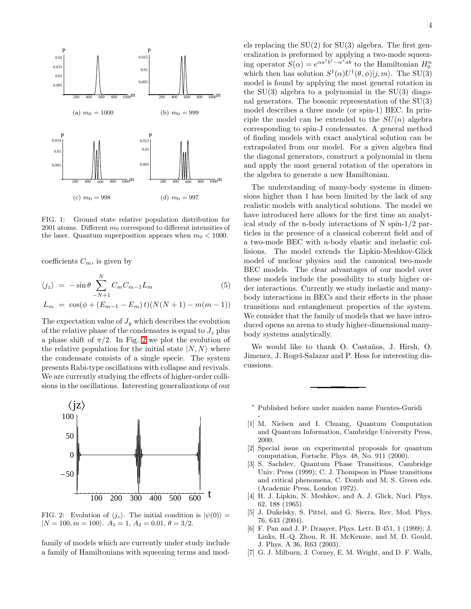<span id="page-3-9"></span>

<span id="page-3-10"></span><span id="page-3-8"></span>FIG. 1: Ground state relative population distribution for 2001 atoms. Different  $m_0$  correspond to different intensities of the laser. Quantum superposition appears when  $m_0 < 1000$ .

coefficients  $C_m$ , is given by

$$
\langle j_z \rangle = -\sin\theta \sum_{-N+1}^{N} C_m C_{m-1} L_m \tag{5}
$$

$$
L_m = \cos(\phi + (E_{m-1} - E_m)t)(N(N + 1) - m(m - 1))
$$

The expectation value of  $J_y$  which describes the evolution of the relative phase of the condensates is equal to  $J_z$  plus a phase shift of  $\pi/2$ . In Fig. [2](#page-3-11) we plot the evolution of the relative population for the initial state  $|N, N\rangle$  where the condensate consists of a single specie. The system presents Rabi-type oscillations with collapse and revivals. We are currently studying the effects of higher-order collisions in the oscillations. Interesting generalizations of our



<span id="page-3-11"></span>FIG. 2: Evolution of  $\langle j_z \rangle$ . The initial condition is  $|\psi(0)\rangle =$  $|N = 100, m = 100$ .  $A_1 = 1, A_2 = 0.01, \theta = 3/2$ .

family of models which are currently under study include a family of Hamiltonians with squeezing terms and models replacing the  $SU(2)$  for  $SU(3)$  algebra. The first generalization is preformed by applying a two-mode squeezing operator  $S(\alpha) = e^{\alpha a^{\dagger} b^{\dagger} - \alpha^* a b}$  to the Hamiltonian  $H_0^n$ which then has solution  $S^{\dagger}(\alpha)U^{\dagger}(\theta,\phi)|j,m\rangle$ . The SU(3) model is found by applying the most general rotation in the  $SU(3)$  algebra to a polynomial in the  $SU(3)$  diagonal generators. The bosonic representation of the SU(3) model describes a three mode (or spin-1) BEC. In principle the model can be extended to the  $SU(n)$  algebra corresponding to spin-J condensates. A general method of finding models with exact analytical solution can be extrapolated from our model. For a given algebra find the diagonal generators, construct a polynomial in them and apply the most general rotation of the operators in the algebra to generate a new Hamiltonian.

The understanding of many-body systems in dimensions higher than 1 has been limited by the lack of any realistic models with analytical solutions. The model we have introduced here allows for the first time an analytical study of the n-body interactions of N spin-1/2 particles in the presence of a classical coherent field and of a two-mode BEC with n-body elastic and inelastic collisions. The model extends the Lipkin-Meshkov-Glick model of nuclear physics and the canonical two-mode BEC models. The clear advantages of our model over these models include the possibility to study higher order interactions. Currently we study inelastic and manybody interactions in BECs and their effects in the phase transitions and entanglement properties of the system. We consider that the family of models that we have introduced opens an arena to study higher-dimensional manybody systems analytically.

We would like to thank O. Castaños, J. Hirsh, O. Jimenez, J. Rogel-Salazar and P. Hess for interesting discussions.

<sup>∗</sup> Published before under maiden name Fuentes-Guridi

-

- <span id="page-3-1"></span><span id="page-3-0"></span>[1] M. Nielsen and I. Chuang, Quantum Computation and Quantum Information, Cambridge University Press, 2000.
- <span id="page-3-2"></span>[2] Special issue on experimental proposals for quantum computation, Fortschr. Phys. 48, No. 911 (2000).
- <span id="page-3-3"></span>[3] S. Sachdev, Quantum Phase Transitions, Cambridge Univ. Press (1999); C. J. Thompson in Phase transitions and critical phenomena, C. Domb and M. S. Green eds. (Academic Press, London 1972).
- <span id="page-3-4"></span>[4] H. J. Lipkin, N. Meshkov, and A. J. Glick, Nucl. Phys. 62, 188 (1965).
- <span id="page-3-5"></span>[5] J. Dukelsky, S. Pittel, and G. Sierra, Rev. Mod. Phys. 76, 643 (2004).
- <span id="page-3-6"></span>[6] F. Pan and J. P. Draayer, Phys. Lett. B 451, 1 (1999); J. Links, H.-Q. Zhou, R. H. McKenzie, and M. D. Gould, J. Phys. A 36, R63 (2003).
- <span id="page-3-7"></span>[7] G. J. Milburn, J. Corney, E. M. Wright, and D. F. Walls,